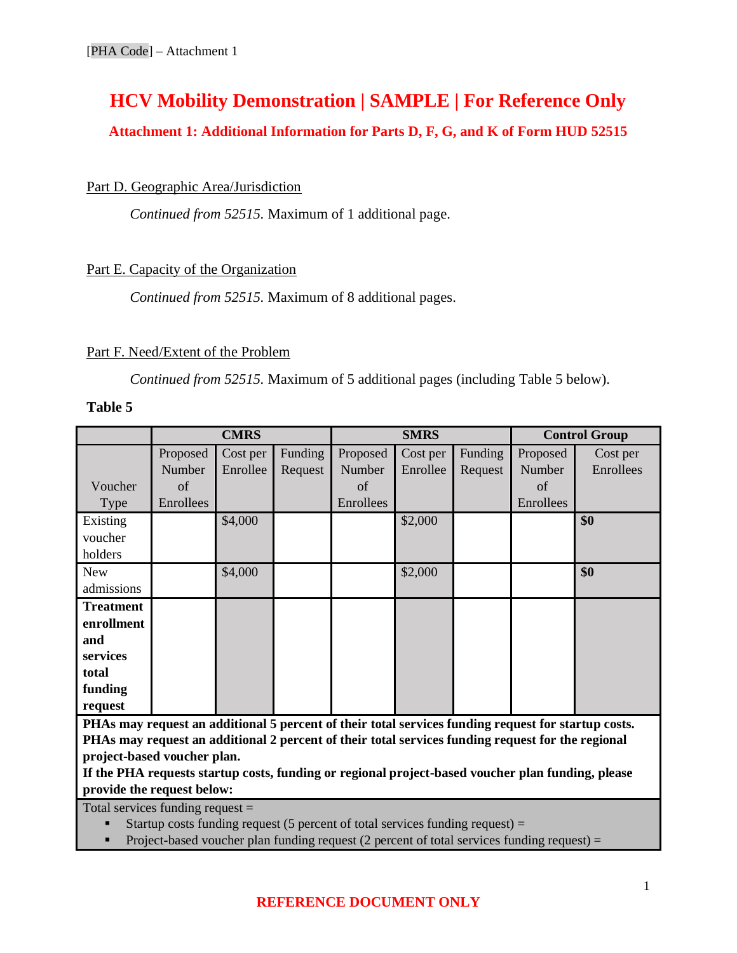# **HCV Mobility Demonstration | SAMPLE | For Reference Only**

## **Attachment 1: Additional Information for Parts D, F, G, and K of Form HUD 52515**

### Part D. Geographic Area/Jurisdiction

*Continued from 52515.* Maximum of 1 additional page.

### Part E. Capacity of the Organization

*Continued from 52515.* Maximum of 8 additional pages.

#### Part F. Need/Extent of the Problem

*Continued from 52515.* Maximum of 5 additional pages (including Table 5 below).

#### **Table 5**

|                  | <b>CMRS</b> |          |         | <b>SMRS</b> |          |         | <b>Control Group</b> |           |
|------------------|-------------|----------|---------|-------------|----------|---------|----------------------|-----------|
|                  | Proposed    | Cost per | Funding | Proposed    | Cost per | Funding | Proposed             | Cost per  |
|                  | Number      | Enrollee | Request | Number      | Enrollee | Request | Number               | Enrollees |
| Voucher          | of          |          |         | of          |          |         | of                   |           |
| Type             | Enrollees   |          |         | Enrollees   |          |         | Enrollees            |           |
| Existing         |             | \$4,000  |         |             | \$2,000  |         |                      | \$0       |
| voucher          |             |          |         |             |          |         |                      |           |
| holders          |             |          |         |             |          |         |                      |           |
| <b>New</b>       |             | \$4,000  |         |             | \$2,000  |         |                      | \$0       |
| admissions       |             |          |         |             |          |         |                      |           |
| <b>Treatment</b> |             |          |         |             |          |         |                      |           |
| enrollment       |             |          |         |             |          |         |                      |           |
| and              |             |          |         |             |          |         |                      |           |
| services         |             |          |         |             |          |         |                      |           |
| total            |             |          |         |             |          |         |                      |           |
| funding          |             |          |         |             |          |         |                      |           |
| request          |             |          |         |             |          |         |                      |           |

**PHAs may request an additional 5 percent of their total services funding request for startup costs. PHAs may request an additional 2 percent of their total services funding request for the regional project-based voucher plan.**

**If the PHA requests startup costs, funding or regional project-based voucher plan funding, please provide the request below:**

Total services funding request =

Startup costs funding request (5 percent of total services funding request)  $=$ 

 $\blacksquare$  Project-based voucher plan funding request (2 percent of total services funding request) =